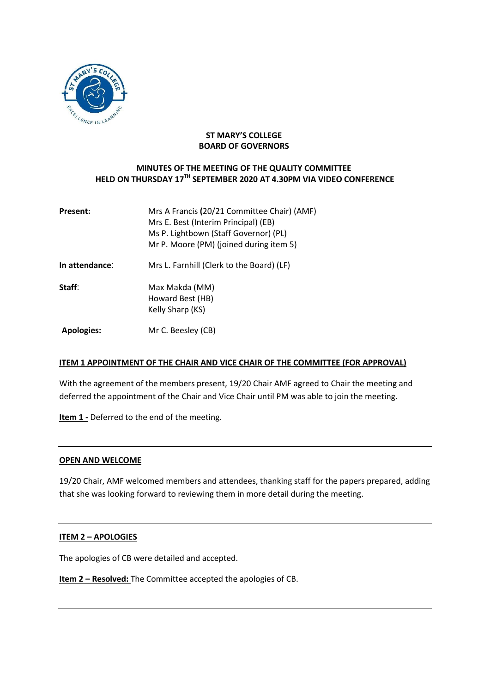

#### **ST MARY'S COLLEGE BOARD OF GOVERNORS**

# **MINUTES OF THE MEETING OF THE QUALITY COMMITTEE HELD ON THURSDAY 17TH SEPTEMBER 2020 AT 4.30PM VIA VIDEO CONFERENCE**

| <b>Present:</b>   | Mrs A Francis (20/21 Committee Chair) (AMF)<br>Mrs E. Best (Interim Principal) (EB)<br>Ms P. Lightbown (Staff Governor) (PL)<br>Mr P. Moore (PM) (joined during item 5) |
|-------------------|-------------------------------------------------------------------------------------------------------------------------------------------------------------------------|
| In attendance:    | Mrs L. Farnhill (Clerk to the Board) (LF)                                                                                                                               |
| Staff:            | Max Makda (MM)<br>Howard Best (HB)<br>Kelly Sharp (KS)                                                                                                                  |
| <b>Apologies:</b> | Mr C. Beesley (CB)                                                                                                                                                      |

#### **ITEM 1 APPOINTMENT OF THE CHAIR AND VICE CHAIR OF THE COMMITTEE (FOR APPROVAL)**

With the agreement of the members present, 19/20 Chair AMF agreed to Chair the meeting and deferred the appointment of the Chair and Vice Chair until PM was able to join the meeting.

**Item 1 -** Deferred to the end of the meeting.

#### **OPEN AND WELCOME**

19/20 Chair, AMF welcomed members and attendees, thanking staff for the papers prepared, adding that she was looking forward to reviewing them in more detail during the meeting.

#### **ITEM 2 – APOLOGIES**

The apologies of CB were detailed and accepted.

**Item 2 – Resolved:** The Committee accepted the apologies of CB.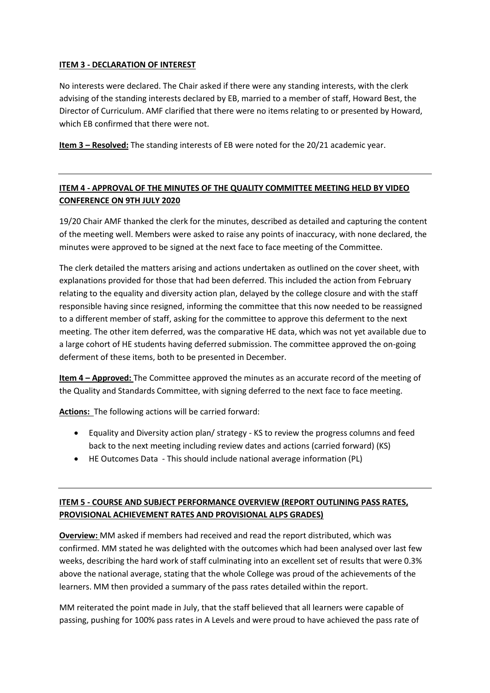#### **ITEM 3 - DECLARATION OF INTEREST**

No interests were declared. The Chair asked if there were any standing interests, with the clerk advising of the standing interests declared by EB, married to a member of staff, Howard Best, the Director of Curriculum. AMF clarified that there were no items relating to or presented by Howard, which EB confirmed that there were not.

**Item 3 – Resolved:** The standing interests of EB were noted for the 20/21 academic year.

# **ITEM 4 - APPROVAL OF THE MINUTES OF THE QUALITY COMMITTEE MEETING HELD BY VIDEO CONFERENCE ON 9TH JULY 2020**

19/20 Chair AMF thanked the clerk for the minutes, described as detailed and capturing the content of the meeting well. Members were asked to raise any points of inaccuracy, with none declared, the minutes were approved to be signed at the next face to face meeting of the Committee.

The clerk detailed the matters arising and actions undertaken as outlined on the cover sheet, with explanations provided for those that had been deferred. This included the action from February relating to the equality and diversity action plan, delayed by the college closure and with the staff responsible having since resigned, informing the committee that this now needed to be reassigned to a different member of staff, asking for the committee to approve this deferment to the next meeting. The other item deferred, was the comparative HE data, which was not yet available due to a large cohort of HE students having deferred submission. The committee approved the on-going deferment of these items, both to be presented in December.

**Item 4 – Approved:** The Committee approved the minutes as an accurate record of the meeting of the Quality and Standards Committee, with signing deferred to the next face to face meeting.

**Actions:** The following actions will be carried forward:

- Equality and Diversity action plan/ strategy KS to review the progress columns and feed back to the next meeting including review dates and actions (carried forward) (KS)
- HE Outcomes Data This should include national average information (PL)

# **ITEM 5 - COURSE AND SUBJECT PERFORMANCE OVERVIEW (REPORT OUTLINING PASS RATES, PROVISIONAL ACHIEVEMENT RATES AND PROVISIONAL ALPS GRADES)**

**Overview:** MM asked if members had received and read the report distributed, which was confirmed. MM stated he was delighted with the outcomes which had been analysed over last few weeks, describing the hard work of staff culminating into an excellent set of results that were 0.3% above the national average, stating that the whole College was proud of the achievements of the learners. MM then provided a summary of the pass rates detailed within the report.

MM reiterated the point made in July, that the staff believed that all learners were capable of passing, pushing for 100% pass rates in A Levels and were proud to have achieved the pass rate of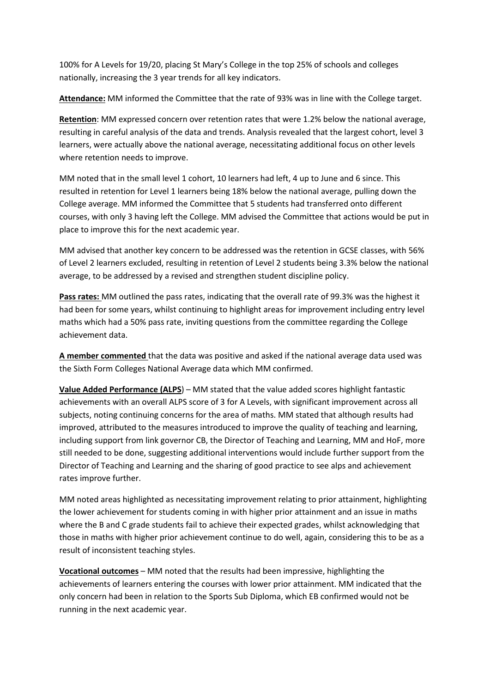100% for A Levels for 19/20, placing St Mary's College in the top 25% of schools and colleges nationally, increasing the 3 year trends for all key indicators.

**Attendance:** MM informed the Committee that the rate of 93% was in line with the College target.

**Retention**: MM expressed concern over retention rates that were 1.2% below the national average, resulting in careful analysis of the data and trends. Analysis revealed that the largest cohort, level 3 learners, were actually above the national average, necessitating additional focus on other levels where retention needs to improve.

MM noted that in the small level 1 cohort, 10 learners had left, 4 up to June and 6 since. This resulted in retention for Level 1 learners being 18% below the national average, pulling down the College average. MM informed the Committee that 5 students had transferred onto different courses, with only 3 having left the College. MM advised the Committee that actions would be put in place to improve this for the next academic year.

MM advised that another key concern to be addressed was the retention in GCSE classes, with 56% of Level 2 learners excluded, resulting in retention of Level 2 students being 3.3% below the national average, to be addressed by a revised and strengthen student discipline policy.

**Pass rates:** MM outlined the pass rates, indicating that the overall rate of 99.3% was the highest it had been for some years, whilst continuing to highlight areas for improvement including entry level maths which had a 50% pass rate, inviting questions from the committee regarding the College achievement data.

**A member commented** that the data was positive and asked if the national average data used was the Sixth Form Colleges National Average data which MM confirmed.

**Value Added Performance (ALPS**) – MM stated that the value added scores highlight fantastic achievements with an overall ALPS score of 3 for A Levels, with significant improvement across all subjects, noting continuing concerns for the area of maths. MM stated that although results had improved, attributed to the measures introduced to improve the quality of teaching and learning, including support from link governor CB, the Director of Teaching and Learning, MM and HoF, more still needed to be done, suggesting additional interventions would include further support from the Director of Teaching and Learning and the sharing of good practice to see alps and achievement rates improve further.

MM noted areas highlighted as necessitating improvement relating to prior attainment, highlighting the lower achievement for students coming in with higher prior attainment and an issue in maths where the B and C grade students fail to achieve their expected grades, whilst acknowledging that those in maths with higher prior achievement continue to do well, again, considering this to be as a result of inconsistent teaching styles.

**Vocational outcomes** – MM noted that the results had been impressive, highlighting the achievements of learners entering the courses with lower prior attainment. MM indicated that the only concern had been in relation to the Sports Sub Diploma, which EB confirmed would not be running in the next academic year.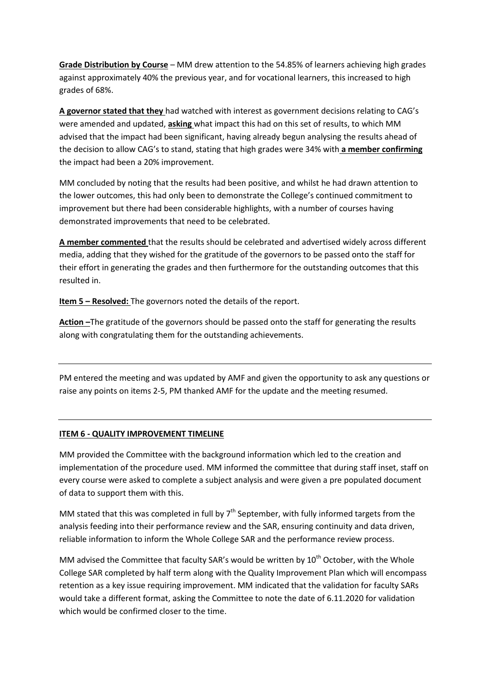**Grade Distribution by Course** – MM drew attention to the 54.85% of learners achieving high grades against approximately 40% the previous year, and for vocational learners, this increased to high grades of 68%.

**A governor stated that they** had watched with interest as government decisions relating to CAG's were amended and updated, **asking** what impact this had on this set of results, to which MM advised that the impact had been significant, having already begun analysing the results ahead of the decision to allow CAG's to stand, stating that high grades were 34% with **a member confirming** the impact had been a 20% improvement.

MM concluded by noting that the results had been positive, and whilst he had drawn attention to the lower outcomes, this had only been to demonstrate the College's continued commitment to improvement but there had been considerable highlights, with a number of courses having demonstrated improvements that need to be celebrated.

**A member commented** that the results should be celebrated and advertised widely across different media, adding that they wished for the gratitude of the governors to be passed onto the staff for their effort in generating the grades and then furthermore for the outstanding outcomes that this resulted in.

**Item 5 – Resolved:** The governors noted the details of the report.

**Action –**The gratitude of the governors should be passed onto the staff for generating the results along with congratulating them for the outstanding achievements.

PM entered the meeting and was updated by AMF and given the opportunity to ask any questions or raise any points on items 2-5, PM thanked AMF for the update and the meeting resumed.

#### **ITEM 6 - QUALITY IMPROVEMENT TIMELINE**

MM provided the Committee with the background information which led to the creation and implementation of the procedure used. MM informed the committee that during staff inset, staff on every course were asked to complete a subject analysis and were given a pre populated document of data to support them with this.

MM stated that this was completed in full by  $7<sup>th</sup>$  September, with fully informed targets from the analysis feeding into their performance review and the SAR, ensuring continuity and data driven, reliable information to inform the Whole College SAR and the performance review process.

MM advised the Committee that faculty SAR's would be written by  $10<sup>th</sup>$  October, with the Whole College SAR completed by half term along with the Quality Improvement Plan which will encompass retention as a key issue requiring improvement. MM indicated that the validation for faculty SARs would take a different format, asking the Committee to note the date of 6.11.2020 for validation which would be confirmed closer to the time.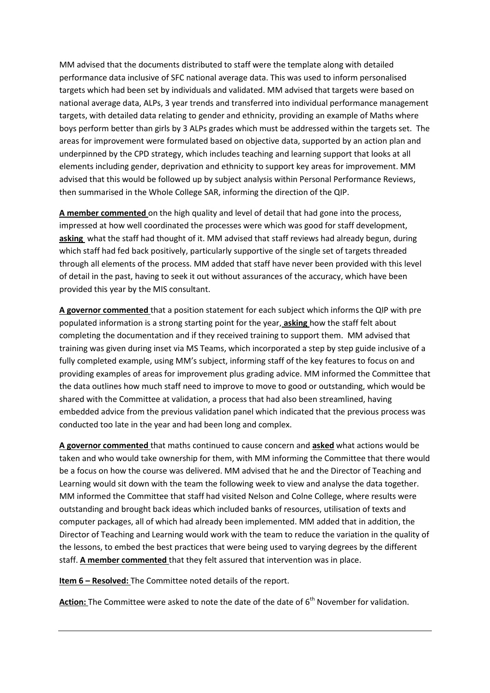MM advised that the documents distributed to staff were the template along with detailed performance data inclusive of SFC national average data. This was used to inform personalised targets which had been set by individuals and validated. MM advised that targets were based on national average data, ALPs, 3 year trends and transferred into individual performance management targets, with detailed data relating to gender and ethnicity, providing an example of Maths where boys perform better than girls by 3 ALPs grades which must be addressed within the targets set. The areas for improvement were formulated based on objective data, supported by an action plan and underpinned by the CPD strategy, which includes teaching and learning support that looks at all elements including gender, deprivation and ethnicity to support key areas for improvement. MM advised that this would be followed up by subject analysis within Personal Performance Reviews, then summarised in the Whole College SAR, informing the direction of the QIP.

**A member commented** on the high quality and level of detail that had gone into the process, impressed at how well coordinated the processes were which was good for staff development, **asking** what the staff had thought of it. MM advised that staff reviews had already begun, during which staff had fed back positively, particularly supportive of the single set of targets threaded through all elements of the process. MM added that staff have never been provided with this level of detail in the past, having to seek it out without assurances of the accuracy, which have been provided this year by the MIS consultant.

**A governor commented** that a position statement for each subject which informs the QIP with pre populated information is a strong starting point for the year, **asking** how the staff felt about completing the documentation and if they received training to support them. MM advised that training was given during inset via MS Teams, which incorporated a step by step guide inclusive of a fully completed example, using MM's subject, informing staff of the key features to focus on and providing examples of areas for improvement plus grading advice. MM informed the Committee that the data outlines how much staff need to improve to move to good or outstanding, which would be shared with the Committee at validation, a process that had also been streamlined, having embedded advice from the previous validation panel which indicated that the previous process was conducted too late in the year and had been long and complex.

**A governor commented** that maths continued to cause concern and **asked** what actions would be taken and who would take ownership for them, with MM informing the Committee that there would be a focus on how the course was delivered. MM advised that he and the Director of Teaching and Learning would sit down with the team the following week to view and analyse the data together. MM informed the Committee that staff had visited Nelson and Colne College, where results were outstanding and brought back ideas which included banks of resources, utilisation of texts and computer packages, all of which had already been implemented. MM added that in addition, the Director of Teaching and Learning would work with the team to reduce the variation in the quality of the lessons, to embed the best practices that were being used to varying degrees by the different staff. **A member commented** that they felt assured that intervention was in place.

**Item 6 – Resolved:** The Committee noted details of the report.

Action: The Committee were asked to note the date of the date of 6<sup>th</sup> November for validation.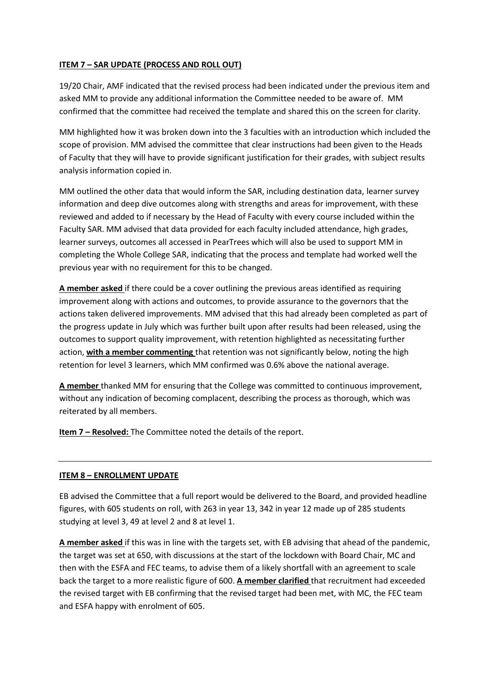#### **ITEM 7 – SAR UPDATE (PROCESS AND ROLL OUT)**

19/20 Chair, AMF indicated that the revised process had been indicated under the previous item and asked MM to provide any additional information the Committee needed to be aware of. MM confirmed that the committee had received the template and shared this on the screen for clarity.

MM highlighted how it was broken down into the 3 faculties with an introduction which included the scope of provision. MM advised the committee that clear instructions had been given to the Heads of Faculty that they will have to provide significant justification for their grades, with subject results analysis information copied in.

MM outlined the other data that would inform the SAR, including destination data, learner survey information and deep dive outcomes along with strengths and areas for improvement, with these reviewed and added to if necessary by the Head of Faculty with every course included within the Faculty SAR. MM advised that data provided for each faculty included attendance, high grades, learner surveys, outcomes all accessed in PearTrees which will also be used to support MM in completing the Whole College SAR, indicating that the process and template had worked well the previous year with no requirement for this to be changed.

**A member asked** if there could be a cover outlining the previous areas identified as requiring improvement along with actions and outcomes, to provide assurance to the governors that the actions taken delivered improvements. MM advised that this had already been completed as part of the progress update in July which was further built upon after results had been released, using the outcomes to support quality improvement, with retention highlighted as necessitating further action, **with a member commenting** that retention was not significantly below, noting the high retention for level 3 learners, which MM confirmed was 0.6% above the national average.

**A member** thanked MM for ensuring that the College was committed to continuous improvement, without any indication of becoming complacent, describing the process as thorough, which was reiterated by all members.

**Item 7 – Resolved:** The Committee noted the details of the report.

#### **ITEM 8 – ENROLLMENT UPDATE**

EB advised the Committee that a full report would be delivered to the Board, and provided headline figures, with 605 students on roll, with 263 in year 13, 342 in year 12 made up of 285 students studying at level 3, 49 at level 2 and 8 at level 1.

**A member asked** if this was in line with the targets set, with EB advising that ahead of the pandemic, the target was set at 650, with discussions at the start of the lockdown with Board Chair, MC and then with the ESFA and FEC teams, to advise them of a likely shortfall with an agreement to scale back the target to a more realistic figure of 600. **A member clarified** that recruitment had exceeded the revised target with EB confirming that the revised target had been met, with MC, the FEC team and ESFA happy with enrolment of 605.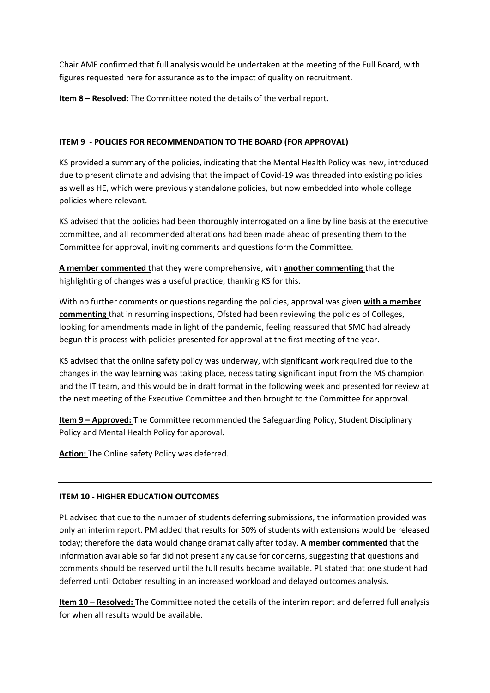Chair AMF confirmed that full analysis would be undertaken at the meeting of the Full Board, with figures requested here for assurance as to the impact of quality on recruitment.

**Item 8 – Resolved:** The Committee noted the details of the verbal report.

# **ITEM 9 - POLICIES FOR RECOMMENDATION TO THE BOARD (FOR APPROVAL)**

KS provided a summary of the policies, indicating that the Mental Health Policy was new, introduced due to present climate and advising that the impact of Covid-19 was threaded into existing policies as well as HE, which were previously standalone policies, but now embedded into whole college policies where relevant.

KS advised that the policies had been thoroughly interrogated on a line by line basis at the executive committee, and all recommended alterations had been made ahead of presenting them to the Committee for approval, inviting comments and questions form the Committee.

**A member commented t**hat they were comprehensive, with **another commenting** that the highlighting of changes was a useful practice, thanking KS for this.

With no further comments or questions regarding the policies, approval was given **with a member commenting** that in resuming inspections, Ofsted had been reviewing the policies of Colleges, looking for amendments made in light of the pandemic, feeling reassured that SMC had already begun this process with policies presented for approval at the first meeting of the year.

KS advised that the online safety policy was underway, with significant work required due to the changes in the way learning was taking place, necessitating significant input from the MS champion and the IT team, and this would be in draft format in the following week and presented for review at the next meeting of the Executive Committee and then brought to the Committee for approval.

**Item 9 – Approved:** The Committee recommended the Safeguarding Policy, Student Disciplinary Policy and Mental Health Policy for approval.

**Action:** The Online safety Policy was deferred.

#### **ITEM 10 - HIGHER EDUCATION OUTCOMES**

PL advised that due to the number of students deferring submissions, the information provided was only an interim report. PM added that results for 50% of students with extensions would be released today; therefore the data would change dramatically after today. **A member commented** that the information available so far did not present any cause for concerns, suggesting that questions and comments should be reserved until the full results became available. PL stated that one student had deferred until October resulting in an increased workload and delayed outcomes analysis.

**Item 10 – Resolved:** The Committee noted the details of the interim report and deferred full analysis for when all results would be available.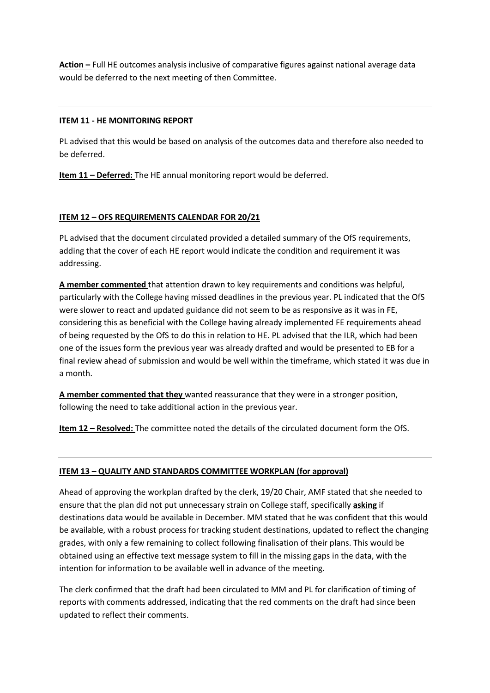**Action –** Full HE outcomes analysis inclusive of comparative figures against national average data would be deferred to the next meeting of then Committee.

#### **ITEM 11 - HE MONITORING REPORT**

PL advised that this would be based on analysis of the outcomes data and therefore also needed to be deferred.

**Item 11 – Deferred:** The HE annual monitoring report would be deferred.

# **ITEM 12 – OFS REQUIREMENTS CALENDAR FOR 20/21**

PL advised that the document circulated provided a detailed summary of the OfS requirements, adding that the cover of each HE report would indicate the condition and requirement it was addressing.

**A member commented** that attention drawn to key requirements and conditions was helpful, particularly with the College having missed deadlines in the previous year. PL indicated that the OfS were slower to react and updated guidance did not seem to be as responsive as it was in FE, considering this as beneficial with the College having already implemented FE requirements ahead of being requested by the OfS to do this in relation to HE. PL advised that the ILR, which had been one of the issues form the previous year was already drafted and would be presented to EB for a final review ahead of submission and would be well within the timeframe, which stated it was due in a month.

**A member commented that they** wanted reassurance that they were in a stronger position, following the need to take additional action in the previous year.

**Item 12 – Resolved:** The committee noted the details of the circulated document form the OfS.

#### **ITEM 13 – QUALITY AND STANDARDS COMMITTEE WORKPLAN (for approval)**

Ahead of approving the workplan drafted by the clerk, 19/20 Chair, AMF stated that she needed to ensure that the plan did not put unnecessary strain on College staff, specifically **asking** if destinations data would be available in December. MM stated that he was confident that this would be available, with a robust process for tracking student destinations, updated to reflect the changing grades, with only a few remaining to collect following finalisation of their plans. This would be obtained using an effective text message system to fill in the missing gaps in the data, with the intention for information to be available well in advance of the meeting.

The clerk confirmed that the draft had been circulated to MM and PL for clarification of timing of reports with comments addressed, indicating that the red comments on the draft had since been updated to reflect their comments.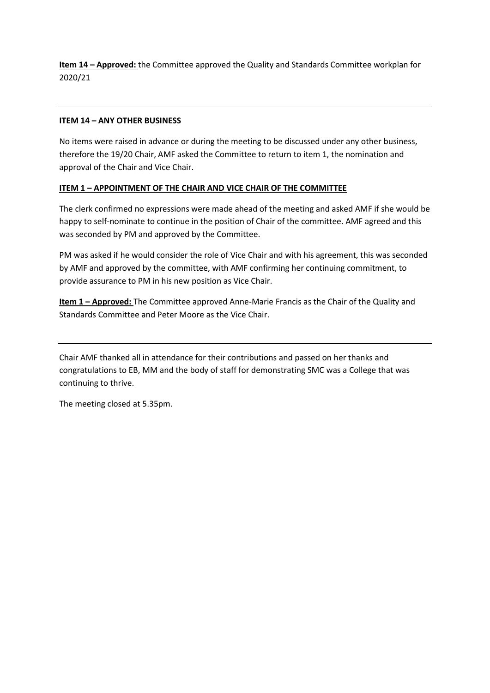**Item 14 – Approved:** the Committee approved the Quality and Standards Committee workplan for 2020/21

#### **ITEM 14 – ANY OTHER BUSINESS**

No items were raised in advance or during the meeting to be discussed under any other business, therefore the 19/20 Chair, AMF asked the Committee to return to item 1, the nomination and approval of the Chair and Vice Chair.

#### **ITEM 1 – APPOINTMENT OF THE CHAIR AND VICE CHAIR OF THE COMMITTEE**

The clerk confirmed no expressions were made ahead of the meeting and asked AMF if she would be happy to self-nominate to continue in the position of Chair of the committee. AMF agreed and this was seconded by PM and approved by the Committee.

PM was asked if he would consider the role of Vice Chair and with his agreement, this was seconded by AMF and approved by the committee, with AMF confirming her continuing commitment, to provide assurance to PM in his new position as Vice Chair.

**Item 1 – Approved:** The Committee approved Anne-Marie Francis as the Chair of the Quality and Standards Committee and Peter Moore as the Vice Chair.

Chair AMF thanked all in attendance for their contributions and passed on her thanks and congratulations to EB, MM and the body of staff for demonstrating SMC was a College that was continuing to thrive.

The meeting closed at 5.35pm.